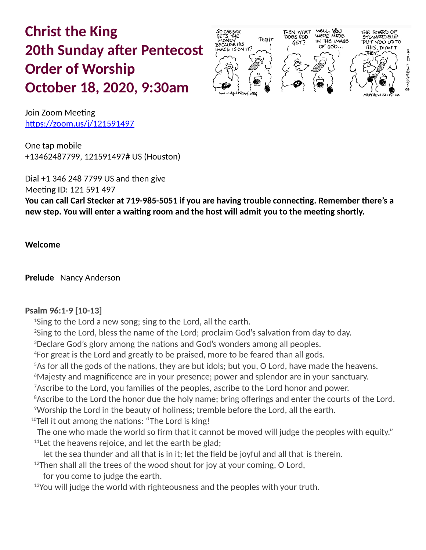# **Christ the King 20th Sunday after Pentecost Order of Worship October 18, 2020, 9:30am**



Join Zoom Meeting https://zoom.us/j/121591497

One tap mobile +13462487799, 121591497# US (Houston)

Dial +1 346 248 7799 US and then give Meeting ID: 121 591 497 **You can call Carl Stecker at 719-985-5051 if you are having trouble connecting. Remember there's a new step. You will enter a waiting room and the host will admit you to the meeting shortly.**

**Welcome** 

**Prelude** Nancy Anderson

## **Psalm 96:1-9 [10-13]**

<sup>1</sup>Sing to the Lord a new song; sing to the Lord, all the earth.

<sup>2</sup>Sing to the Lord, bless the name of the Lord; proclaim God's salvation from day to day.

<sup>3</sup>Declare God's glory among the nations and God's wonders among all peoples.

<sup>4</sup>For great is the Lord and greatly to be praised, more to be feared than all gods.

<sup>5</sup>As for all the gods of the nations, they are but idols; but you, O Lord, have made the heavens.

<sup>6</sup>Majesty and magnificence are in your presence; power and splendor are in your sanctuary.

<sup>7</sup> Ascribe to the Lord, you families of the peoples, ascribe to the Lord honor and power.

<sup>8</sup> Ascribe to the Lord the honor due the holy name; bring offerings and enter the courts of the Lord. <sup>9</sup>Worship the Lord in the beauty of holiness; tremble before the Lord, all the earth.

<sup>10</sup>Tell it out among the nations: "The Lord is king!

 The one who made the world so firm that it cannot be moved will judge the peoples with equity."  $11$ Let the heavens rejoice, and let the earth be glad;

let the sea thunder and all that is in it; let the field be joyful and all that is therein.

 $12$ Then shall all the trees of the wood shout for joy at your coming, O Lord,

for you come to judge the earth.

<sup>13</sup>You will judge the world with righteousness and the peoples with your truth.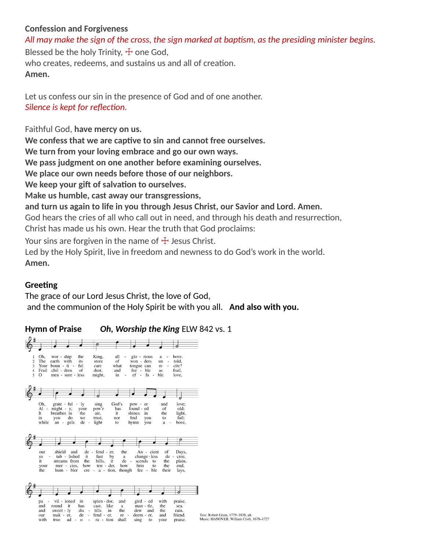## **Confession and Forgiveness**

*All may make the sign of the cross, the sign marked at baptism, as the presiding minister begins.*

Blessed be the holy Trinity,  $\pm$  one God, who creates, redeems, and sustains us and all of creation. **Amen.**

Let us confess our sin in the presence of God and of one another. *Silence is kept for reflection.*

Faithful God, **have mercy on us.**

**We confess that we are captive to sin and cannot free ourselves.**

**We turn from your loving embrace and go our own ways.**

**We pass judgment on one another before examining ourselves.**

**We place our own needs before those of our neighbors.**

**We keep your gift of salvation to ourselves.**

**Make us humble, cast away our transgressions,**

**and turn us again to life in you through Jesus Christ, our Savior and Lord. Amen.**

God hears the cries of all who call out in need, and through his death and resurrection, Christ has made us his own. Hear the truth that God proclaims:

Your sins are forgiven in the name of  $\pm$  Jesus Christ.

Led by the Holy Spirit, live in freedom and newness to do God's work in the world. **Amen.**

# **Greeting**

The grace of our Lord Jesus Christ, the love of God, and the communion of the Holy Spirit be with you all. **And also with you.**

# **Hymn of Praise** *Oh, Worship the King* ELW 842 vs. 1

| 1                   | Oh,                  | wor - ship                     | King,<br>the                    | all                                | glo - rious<br>$\overline{\phantom{a}}$ | a                                              | bove.              |                                                                                 |
|---------------------|----------------------|--------------------------------|---------------------------------|------------------------------------|-----------------------------------------|------------------------------------------------|--------------------|---------------------------------------------------------------------------------|
| $\overline{c}$<br>3 | The                  | earth with<br>Your boun - ti - | its<br>store<br>ful<br>care     | of<br>what                         | won - ders<br>tongue can                | un<br>$\overline{\phantom{a}}$<br>re<br>$\sim$ | told,<br>cite?     |                                                                                 |
| $\overline{4}$      | Frail                | chil - dren                    | of<br>dust,                     | and                                | fee - ble                               | as                                             | frail,             |                                                                                 |
| 5                   | $\circ$              | mea - sure - less              | might,                          | in                                 | ef - fa - ble<br>ä,                     |                                                | love,              |                                                                                 |
|                     |                      |                                |                                 |                                    |                                         |                                                |                    |                                                                                 |
|                     |                      |                                |                                 |                                    |                                         |                                                |                    |                                                                                 |
|                     |                      |                                |                                 |                                    |                                         |                                                |                    |                                                                                 |
|                     |                      |                                |                                 |                                    |                                         |                                                |                    |                                                                                 |
|                     | Oh.                  | $grate - ful - ly$             | sing                            | God's                              | pow - er                                | and                                            | love;              |                                                                                 |
|                     | Al                   | - might - y,                   | pow'r<br>your                   | has                                | found - ed                              | of                                             | old;               |                                                                                 |
|                     | It                   | breathes in                    | the<br>air,                     | it.                                | shines<br>in                            | the                                            | light,             |                                                                                 |
|                     | in<br>while          | vou<br>do<br>gels<br>$an -$    | trust.<br>we<br>light<br>$de -$ | nor<br>to                          | find<br>you<br>hymn<br>you              | to<br>a                                        | fail:<br>bove,     |                                                                                 |
|                     |                      |                                |                                 |                                    |                                         |                                                |                    |                                                                                 |
|                     |                      |                                |                                 |                                    |                                         |                                                |                    |                                                                                 |
|                     |                      |                                |                                 |                                    |                                         |                                                |                    |                                                                                 |
|                     |                      |                                |                                 |                                    |                                         |                                                |                    |                                                                                 |
|                     | our                  | shield<br>and                  |                                 | de - fend - er,<br>the             | An - cient                              | of                                             | Days,              |                                                                                 |
|                     | $\sim$<br>es         | tab - lished                   | it                              | fast<br>by                         | change - less<br>a                      |                                                | de - cree.         |                                                                                 |
|                     | it                   | streams from                   | the                             | hills,<br>it                       | scends<br>$de -$<br>to                  | the                                            | plain,             |                                                                                 |
|                     | your                 | mer - cies,                    | how                             | ten - der,<br>how                  | firm<br>to                              | the                                            | end,               |                                                                                 |
|                     | the                  | hum - bler                     |                                 | $cre - a - tion$ , though          | fee - ble                               | their                                          | lays,              |                                                                                 |
|                     |                      |                                |                                 |                                    |                                         |                                                |                    |                                                                                 |
|                     |                      |                                |                                 |                                    |                                         |                                                |                    |                                                                                 |
|                     |                      |                                |                                 |                                    |                                         |                                                |                    |                                                                                 |
|                     |                      |                                |                                 |                                    |                                         |                                                |                    |                                                                                 |
|                     | pa<br>$\blacksquare$ | vil - ioned                    | in                              | splen - dor,<br>and                | gird - ed                               | with                                           | praise.            |                                                                                 |
|                     | and                  | round<br>it                    | has<br>cast.                    | like<br>$\bf a$                    | man - tle,                              | the                                            | sea.               |                                                                                 |
|                     | and                  | sweet - ly                     | dis<br>tills<br>$\sim$          | in<br>the                          | dew<br>and                              | the                                            | rain.              |                                                                                 |
|                     | our<br>with          | mak - er,<br>true<br>$ad - o$  | de<br>$\sim$                    | fend - er,<br>- ra - tion<br>shall | re -<br>deem - er,<br>sing<br>to        | and<br>vour                                    | friend.<br>praise. | Text: Robert Grant, 1779-1838, alt.<br>Music: HANOVER, William Croft, 1678-1727 |
|                     |                      |                                |                                 |                                    |                                         |                                                |                    |                                                                                 |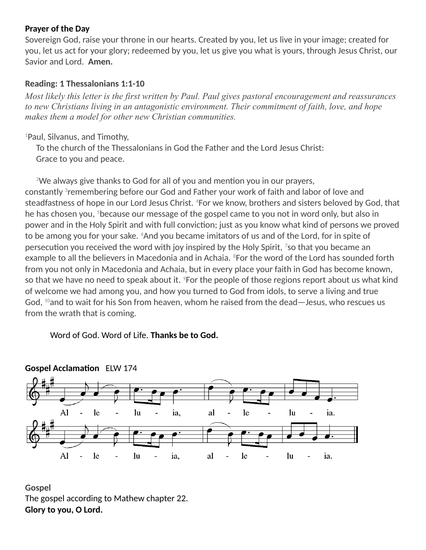#### **Prayer of the Day**

Sovereign God, raise your throne in our hearts. Created by you, let us live in your image; created for you, let us act for your glory; redeemed by you, let us give you what is yours, through Jesus Christ, our Savior and Lord. **Amen.**

## **Reading: 1 Thessalonians 1:1-10**

*Most likely this letter is the first written by Paul. Paul gives pastoral encouragement and reassurances to new Christians living in an antagonistic environment. Their commitment of faith, love, and hope makes them a model for other new Christian communities.*

<sup>1</sup>Paul, Silvanus, and Timothy,

 To the church of the Thessalonians in God the Father and the Lord Jesus Christ: Grace to you and peace.

 $2$ We always give thanks to God for all of you and mention you in our prayers, constantly  $^3$ remembering before our God and Father your work of faith and labor of love and steadfastness of hope in our Lord Jesus Christ. <sup>4</sup>For we know, brothers and sisters beloved by God, that he has chosen you, <sup>5</sup>because our message of the gospel came to you not in word only, but also in power and in the Holy Spirit and with full conviction; just as you know what kind of persons we proved to be among you for your sake.  $6$ And you became imitators of us and of the Lord, for in spite of persecution you received the word with joy inspired by the Holy Spirit,  $^7$ so that you became an example to all the believers in Macedonia and in Achaia.  ${}^{8}$  For the word of the Lord has sounded forth from you not only in Macedonia and Achaia, but in every place your faith in God has become known, so that we have no need to speak about it. <sup>9</sup>For the people of those regions report about us what kind of welcome we had among you, and how you turned to God from idols, to serve a living and true God,  $^{10}$ and to wait for his Son from heaven, whom he raised from the dead—Jesus, who rescues us from the wrath that is coming.

Word of God. Word of Life. **Thanks be to God.**





**Gospel** The gospel according to Mathew chapter 22. **Glory to you, O Lord.**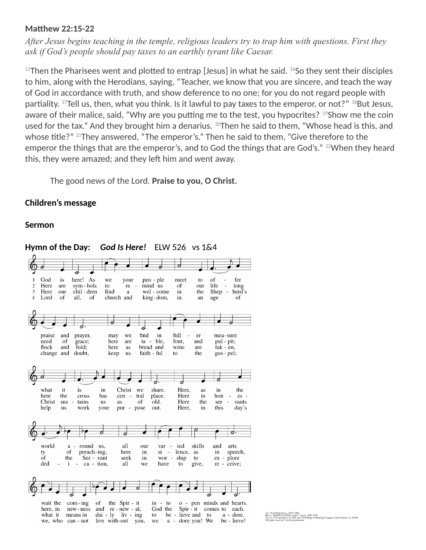#### **Matthew 22:15-22**

*After Jesus begins teaching in the temple, religious leaders try to trap him with questions. First they ask if God's people should pay taxes to an earthly tyrant like Caesar.*

 $15$ Then the Pharisees went and plotted to entrap [Jesus] in what he said.  $16$ So they sent their disciples to him, along with the Herodians, saying, "Teacher, we know that you are sincere, and teach the way of God in accordance with truth, and show deference to no one; for you do not regard people with partiality.  $17$ Tell us, then, what you think. Is it lawful to pay taxes to the emperor, or not?"  $18$ But Jesus, aware of their malice, said, "Why are you putting me to the test, you hypocrites? <sup>19</sup>Show me the coin used for the tax." And they brought him a denarius. <sup>20</sup>Then he said to them, "Whose head is this, and whose title?" <sup>21</sup>They answered, "The emperor's." Then he said to them, "Give therefore to the emperor the things that are the emperor's, and to God the things that are God's." <sup>22</sup>When they heard this, they were amazed; and they left him and went away.

The good news of the Lord. **Praise to you, O Christ.**

#### **Children's message**

#### **Sermon**



Fred Pratt Green, 1903–2000<br>:: ABBOTTS LEIGH, Cyril V. Taylor, 1907–1991<br>? 1979 and Music (?) 1942, ren. 1970 Hope Publishing Company, Carol Stream, IL 60188.

#### **Hymn of the Day:** *God Is Here!* ELW 526 vs 1&4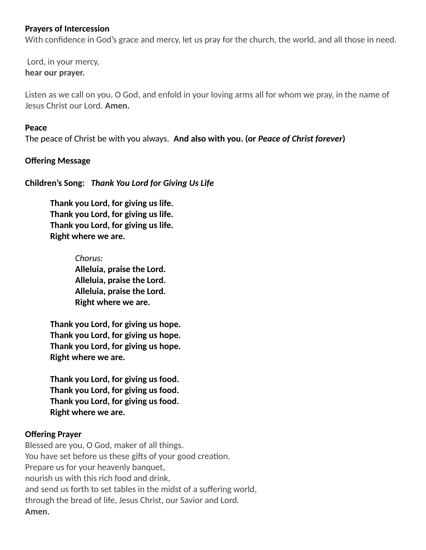#### **Prayers of Intercession**

With confidence in God's grace and mercy, let us pray for the church, the world, and all those in need.

Lord, in your mercy, **hear our prayer.**

Listen as we call on you, O God, and enfold in your loving arms all for whom we pray, in the name of Jesus Christ our Lord. **Amen.**

#### **Peace**

The peace of Christ be with you always. **And also with you. (or** *Peace of Christ forever***)**

#### **Offering Message**

**Children's Song:** *Thank You Lord for Giving Us Life* 

**Thank you Lord, for giving us life. Thank you Lord, for giving us life. Thank you Lord, for giving us life. Right where we are.**

> *Chorus:* **Alleluia, praise the Lord. Alleluia, praise the Lord. Alleluia, praise the Lord. Right where we are.**

**Thank you Lord, for giving us hope. Thank you Lord, for giving us hope. Thank you Lord, for giving us hope. Right where we are.**

**Thank you Lord, for giving us food. Thank you Lord, for giving us food. Thank you Lord, for giving us food. Right where we are.**

#### **Offering Prayer**

Blessed are you, O God, maker of all things. You have set before us these gifts of your good creation. Prepare us for your heavenly banquet, nourish us with this rich food and drink, and send us forth to set tables in the midst of a suffering world, through the bread of life, Jesus Christ, our Savior and Lord. **Amen.**